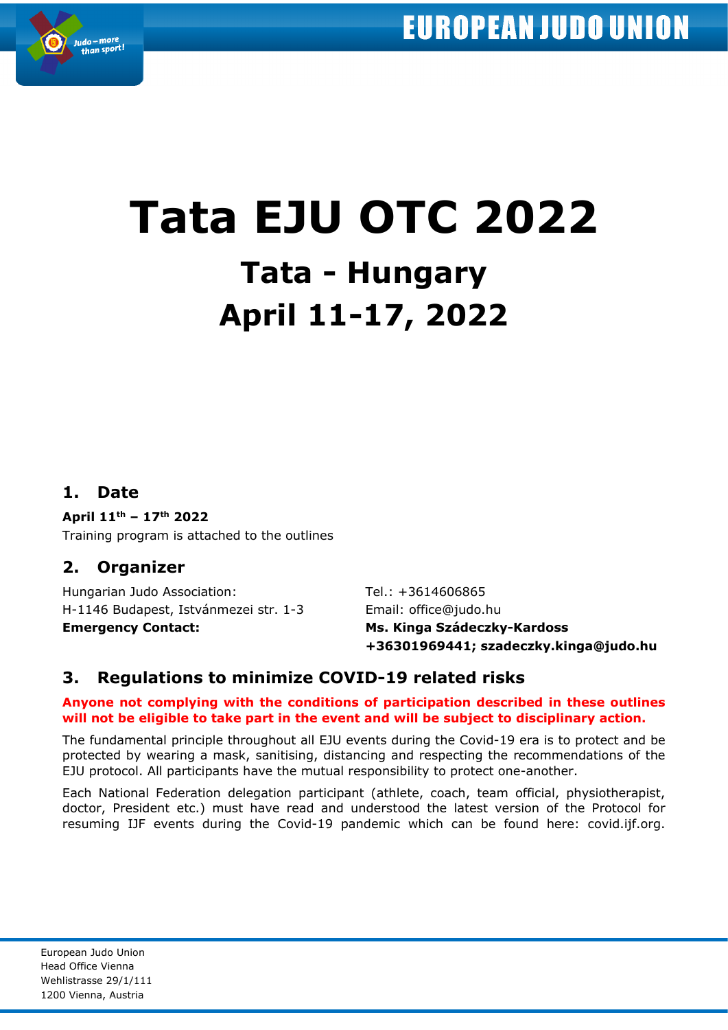

# **Tata EJU OTC 2022 Tata - Hungary April 11-17, 2022**

## **1. Date**

#### **April 11th – 17th 2022**

Training program is attached to the outlines

## **2. Organizer**

Hungarian Judo Association: Tel.: +3614606865 H-1146 Budapest, Istvánmezei str. 1-3 Email: office@judo.hu **Emergency Contact: Ms. Kinga Szádeczky-Kardoss**

**+36301969441; szadeczky.kinga@judo.hu**

## **3. Regulations to minimize COVID-19 related risks**

#### **Anyone not complying with the conditions of participation described in these outlines will not be eligible to take part in the event and will be subject to disciplinary action.**

The fundamental principle throughout all EJU events during the Covid-19 era is to protect and be protected by wearing a mask, sanitising, distancing and respecting the recommendations of the EJU protocol. All participants have the mutual responsibility to protect one-another.

Each National Federation delegation participant (athlete, coach, team official, physiotherapist, doctor, President etc.) must have read and understood the latest version of the Protocol for resuming IJF events during the Covid-19 pandemic which can be found here: covid.ijf.org.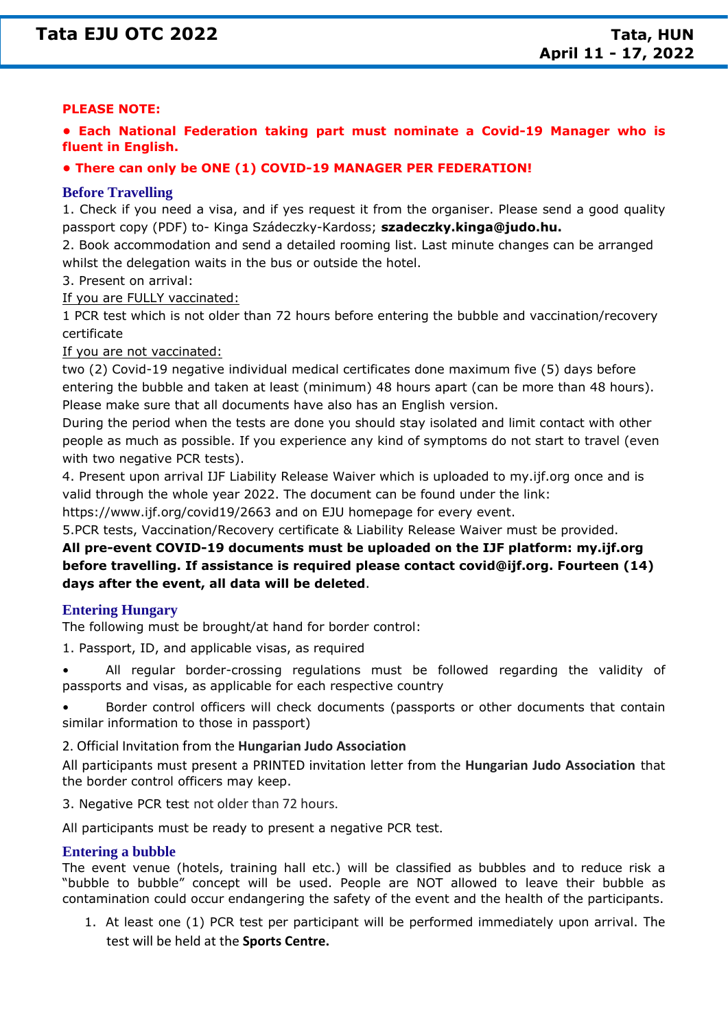## **Tata EJU OTC 2022 NTata, HUN**

#### **PLEASE NOTE:**

**• Each National Federation taking part must nominate a Covid-19 Manager who is fluent in English.**

#### **• There can only be ONE (1) COVID-19 MANAGER PER FEDERATION!**

#### **Before Travelling**

1. Check if you need a visa, and if yes request it from the organiser. Please send a good quality passport copy (PDF) to- Kinga Szádeczky-Kardoss; **szadeczky.kinga@judo.hu.**

2. Book accommodation and send a detailed rooming list. Last minute changes can be arranged whilst the delegation waits in the bus or outside the hotel.

3. Present on arrival:

If you are FULLY vaccinated:

1 PCR test which is not older than 72 hours before entering the bubble and vaccination/recovery certificate

If you are not vaccinated:

two (2) Covid-19 negative individual medical certificates done maximum five (5) days before entering the bubble and taken at least (minimum) 48 hours apart (can be more than 48 hours). Please make sure that all documents have also has an English version.

During the period when the tests are done you should stay isolated and limit contact with other people as much as possible. If you experience any kind of symptoms do not start to travel (even with two negative PCR tests).

4. Present upon arrival IJF Liability Release Waiver which is uploaded to my.ijf.org once and is valid through the whole year 2022. The document can be found under the link:

https://www.ijf.org/covid19/2663 and on EJU homepage for every event.

5.PCR tests, Vaccination/Recovery certificate & Liability Release Waiver must be provided.

**All pre-event COVID-19 documents must be uploaded on the IJF platform: my.ijf.org before travelling. If assistance is required please contact covid@ijf.org. Fourteen (14) days after the event, all data will be deleted**.

#### **Entering Hungary**

The following must be brought/at hand for border control:

- 1. Passport, ID, and applicable visas, as required
- All regular border-crossing regulations must be followed regarding the validity of passports and visas, as applicable for each respective country

• Border control officers will check documents (passports or other documents that contain similar information to those in passport)

2. Official Invitation from the **Hungarian Judo Association**

All participants must present a PRINTED invitation letter from the **Hungarian Judo Association** that the border control officers may keep.

3. Negative PCR test not older than 72 hours.

All participants must be ready to present a negative PCR test.

#### **Entering a bubble**

The event venue (hotels, training hall etc.) will be classified as bubbles and to reduce risk a "bubble to bubble" concept will be used. People are NOT allowed to leave their bubble as contamination could occur endangering the safety of the event and the health of the participants.

1. At least one (1) PCR test per participant will be performed immediately upon arrival. The test will be held at the **Sports Centre.**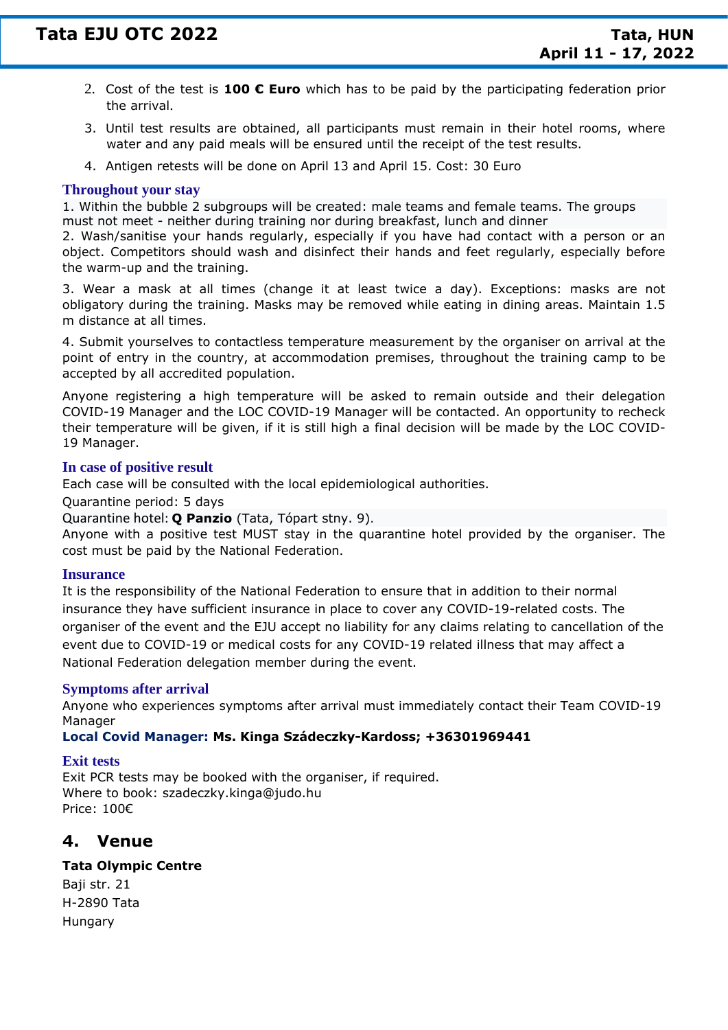- 2. Cost of the test is **100 € Euro** which has to be paid by the participating federation prior the arrival.
- 3. Until test results are obtained, all participants must remain in their hotel rooms, where water and any paid meals will be ensured until the receipt of the test results.
- 4. Antigen retests will be done on April 13 and April 15. Cost: 30 Euro

#### **Throughout your stay**

1. Within the bubble 2 subgroups will be created: male teams and female teams. The groups must not meet - neither during training nor during breakfast, lunch and dinner

2. Wash/sanitise your hands regularly, especially if you have had contact with a person or an object. Competitors should wash and disinfect their hands and feet regularly, especially before the warm-up and the training.

3. Wear a mask at all times (change it at least twice a day). Exceptions: masks are not obligatory during the training. Masks may be removed while eating in dining areas. Maintain 1.5 m distance at all times.

4. Submit yourselves to contactless temperature measurement by the organiser on arrival at the point of entry in the country, at accommodation premises, throughout the training camp to be accepted by all accredited population.

Anyone registering a high temperature will be asked to remain outside and their delegation COVID-19 Manager and the LOC COVID-19 Manager will be contacted. An opportunity to recheck their temperature will be given, if it is still high a final decision will be made by the LOC COVID-19 Manager.

#### **In case of positive result**

Each case will be consulted with the local epidemiological authorities.

Quarantine period: 5 days

Quarantine hotel: **Q Panzio** (Tata, Tópart stny. 9).

Anyone with a positive test MUST stay in the quarantine hotel provided by the organiser. The cost must be paid by the National Federation.

#### **Insurance**

It is the responsibility of the National Federation to ensure that in addition to their normal insurance they have sufficient insurance in place to cover any COVID-19-related costs. The organiser of the event and the EJU accept no liability for any claims relating to cancellation of the event due to COVID-19 or medical costs for any COVID-19 related illness that may affect a National Federation delegation member during the event.

#### **Symptoms after arrival**

Anyone who experiences symptoms after arrival must immediately contact their Team COVID-19 Manager

#### **Local Covid Manager: Ms. Kinga Szádeczky-Kardoss; +36301969441**

#### **Exit tests**

Exit PCR tests may be booked with the organiser, if required. Where to book: szadeczky.kinga@judo.hu Price: 100€

### **4. Venue**

#### **Tata Olympic Centre**

Baji str. 21 H-2890 Tata Hungary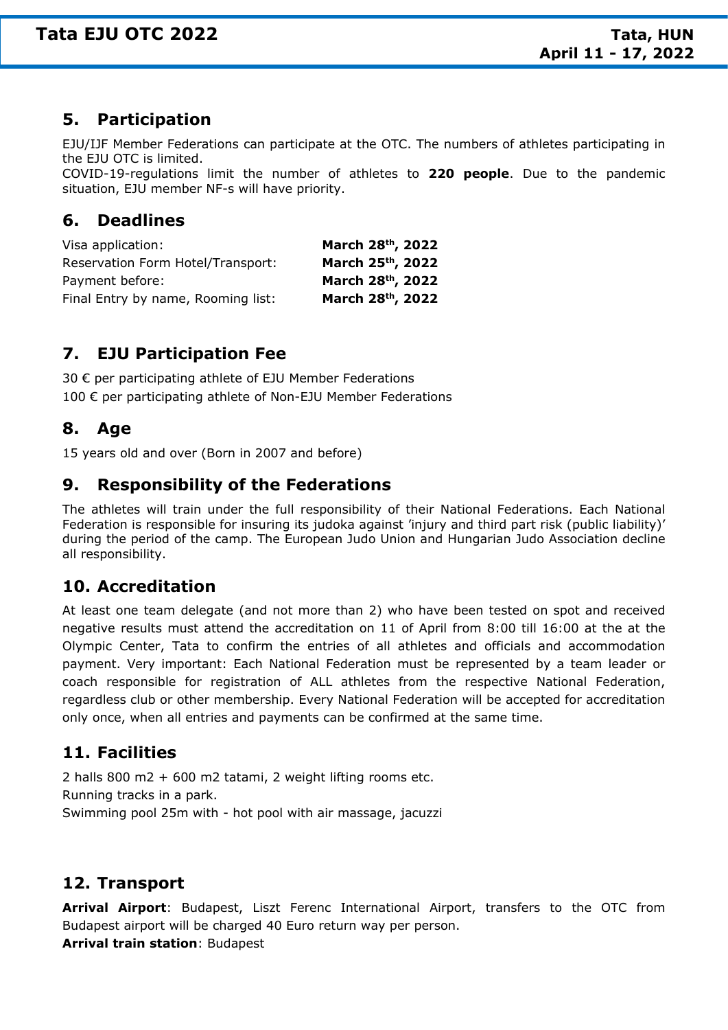## **5. Participation**

EJU/IJF Member Federations can participate at the OTC. The numbers of athletes participating in the EJU OTC is limited.

COVID-19-regulations limit the number of athletes to **220 people**. Due to the pandemic situation, EJU member NF-s will have priority.

## **6. Deadlines**

| Visa application:                  | March 28th, 2022 |
|------------------------------------|------------------|
| Reservation Form Hotel/Transport:  | March 25th, 2022 |
| Payment before:                    | March 28th, 2022 |
| Final Entry by name, Rooming list: | March 28th, 2022 |

## **7. EJU Participation Fee**

30 € per participating athlete of EJU Member Federations 100 € per participating athlete of Non-EJU Member Federations

## **8. Age**

15 years old and over (Born in 2007 and before)

## **9. Responsibility of the Federations**

The athletes will train under the full responsibility of their National Federations. Each National Federation is responsible for insuring its judoka against 'injury and third part risk (public liability)' during the period of the camp. The European Judo Union and Hungarian Judo Association decline all responsibility.

## **10. Accreditation**

At least one team delegate (and not more than 2) who have been tested on spot and received negative results must attend the accreditation on 11 of April from 8:00 till 16:00 at the at the Olympic Center, Tata to confirm the entries of all athletes and officials and accommodation payment. Very important: Each National Federation must be represented by a team leader or coach responsible for registration of ALL athletes from the respective National Federation, regardless club or other membership. Every National Federation will be accepted for accreditation only once, when all entries and payments can be confirmed at the same time.

## **11. Facilities**

2 halls 800 m2 + 600 m2 tatami, 2 weight lifting rooms etc. Running tracks in a park. Swimming pool 25m with - hot pool with air massage, jacuzzi

## **12. Transport**

**Arrival Airport**: Budapest, Liszt Ferenc International Airport, transfers to the OTC from Budapest airport will be charged 40 Euro return way per person. **Arrival train station**: Budapest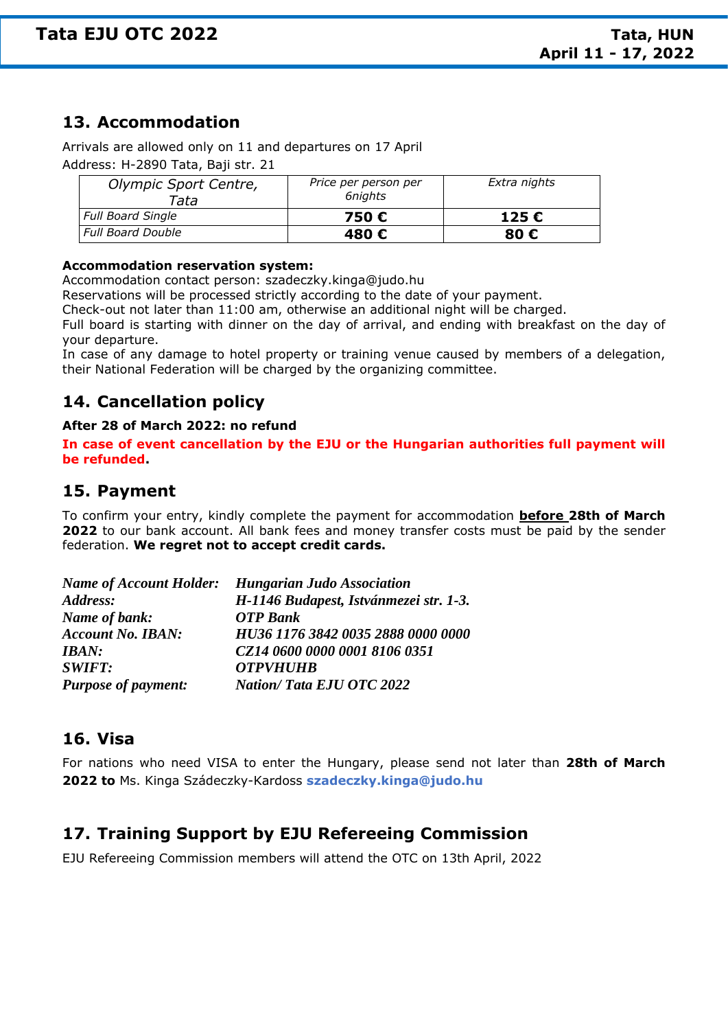## **13. Accommodation**

Arrivals are allowed only on 11 and departures on 17 April Address: H-2890 Tata, Baji str. 21

| Olympic Sport Centre,<br>Tata | Price per person per<br>6niahts | Extra nights |
|-------------------------------|---------------------------------|--------------|
| <b>Full Board Single</b>      | 750 €                           | 125€         |
| <b>Full Board Double</b>      | 480 €                           | 80 €         |

#### **Accommodation reservation system:**

Accommodation contact person: szadeczky.kinga@judo.hu

Reservations will be processed strictly according to the date of your payment.

Check-out not later than 11:00 am, otherwise an additional night will be charged.

Full board is starting with dinner on the day of arrival, and ending with breakfast on the day of your departure.

In case of any damage to hotel property or training venue caused by members of a delegation, their National Federation will be charged by the organizing committee.

## **14. Cancellation policy**

#### **After 28 of March 2022: no refund**

**In case of event cancellation by the EJU or the Hungarian authorities full payment will be refunded.**

## **15. Payment**

To confirm your entry, kindly complete the payment for accommodation **before 28th of March 2022** to our bank account. All bank fees and money transfer costs must be paid by the sender federation. **We regret not to accept credit cards.**

|                            | <b>Name of Account Holder:</b> Hungarian Judo Association |
|----------------------------|-----------------------------------------------------------|
| Address:                   | H-1146 Budapest, Istvánmezei str. 1-3.                    |
| Name of bank:              | <b>OTP</b> Bank                                           |
| <b>Account No. IBAN:</b>   | HU36 1176 3842 0035 2888 0000 0000                        |
| IBAN:                      | CZ14 0600 0000 0001 8106 0351                             |
| <b>SWIFT:</b>              | <b>OTPVHUHB</b>                                           |
| <b>Purpose of payment:</b> | <b>Nation/Tata EJU OTC 2022</b>                           |

## **16. Visa**

For nations who need VISA to enter the Hungary, please send not later than **28th of March 2022 to** Ms. Kinga Szádeczky-Kardoss **szadeczky.kinga@judo.hu**

## **17. Training Support by EJU Refereeing Commission**

EJU Refereeing Commission members will attend the OTC on 13th April, 2022